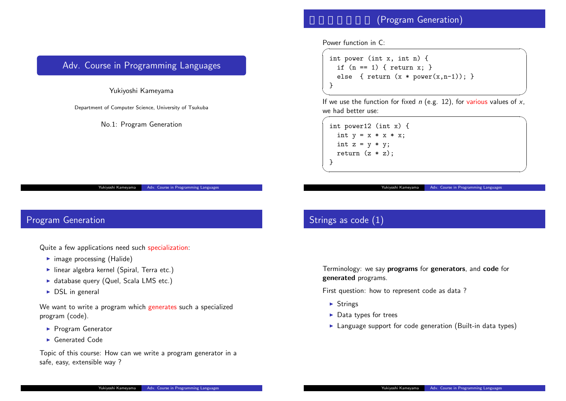#### (Program

Yukiyoshi Kamey

Power function in C:  $\sqrt{2\pi i}$ 

```
int power (int x, int
  if (n == 1) { return
  else { return (x *}
```
✒ ✑ If we use the function for fixe we had better use:  $\sqrt{ }$ 

int power12 (int x) { int  $y = x * x * x;$ int  $z = y * y;$ return  $(z * z)$ ; } ✒ ✑

#### Strings as code (1)

Terminology: we say **prograr generated** programs.

First question: how to represe

- ▶ Strings
- ▶ Data types for trees
- $\blacktriangleright$  Language support for co

# <span id="page-0-0"></span>Adv. Course in Programming Languages

Yukiyoshi Kameyama

Department of Computer Science, University of Tsukuba

No.1: Program Generation

Yukiyoshi Kameyama | Adv. Course in Programming Languages

# Program Generation

Quite a few applications need such specialization:

- ▶ image processing (Halide)
- ▶ linear algebra kernel (Sp[iral, Terra etc.\)](#page-6-0)
- ▶ database query (Quel, Scala LMS etc.)
- $\triangleright$  DSL in general

We want to write a program which generates such a specialized program (code).

- ▶ Program Generator
- ▶ Generated Code

Topic of this course: How can we write a program generator in a safe, easy, extensible way ?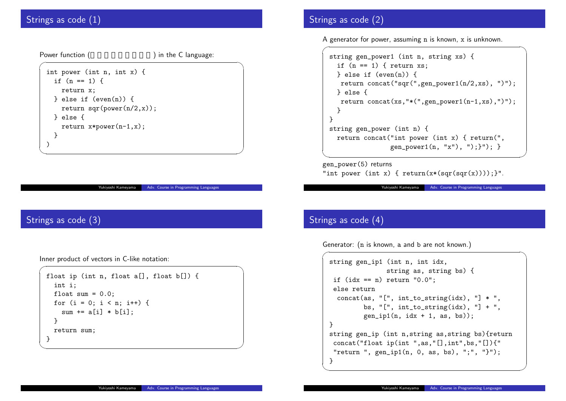#### Strings as code (1)

Power function (

) in the  $C$  language:

```
int power (int n, int x) {
  if (n == 1) {
    return x;
  } else if (even(n)) {
    return sqr(power(n/2,x));
  } else {
    return x * power(n-1, x);
  }
)
```
oshi Kameyama Adv. Course in Programming Langu

✒ ✑

## Strings as code (3)

Inner product of vectors in C-like notation:  $\sqrt{2\pi}$ 

```
float ip (int n, float a[], float b[]) {
  int i;
  float sum = 0.0;
  for (i = 0; i < n; i++) {
    sum += a[i] * b[i];
  }
  return sum;
}
```
# Strings as code (2)

A generator for power, assum  $\overline{a}$ 

```
string gen_power1 (int
  if (n == 1) { return
  } else if (even(n))
   return concat("sqr
  } else {
   return concat(xs,")
  }
 }
 string gen_power (int
  return concat("int \mugen_po
✒ ✑
```
gen\_power(5) returns "int power (int  $x$ ) { return

Yukiyoshi Kam

# Strings as code (4)

Generator: (n is known, a and

```
\overline{a}string gen_ip1 (int n_istring
  if (idx == n) return
  else return
   concat(as, " ['", int]bs, " ['", int]gen\_ip1(n, i<sub>0</sub>)}
 string gen_ip (int n,s
  concat("float ip(int
  "return ", gen\_ip1(n)} ✒ ✑
```
✒ ✑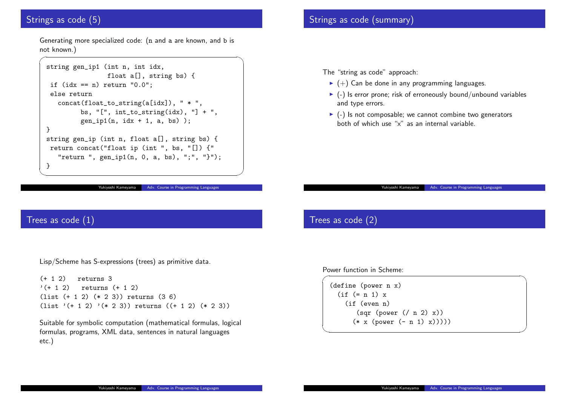#### Strings as code (5)

 $\overline{a}$ 

Generating more specialized code: (n and a are known, and b is not known.)

```
string gen_ip1 (int n, int idx,
                float a[], string bs) {
 if (\text{idx} == n) return "0.0";
 else return
   concat(float_to_string(a[idx]), " * ",
         bs, " ['", int_to_string(idx), " ] + ",gen\_ip1(n, idx + 1, a, bs) );
}
string gen_ip (int n, float a[], string bs) {
return concat("float ip (int ", bs, "[]) {"
   "return ", gen_ip1(n, 0, a, bs), ";", "}");
}
```
#### Yukiyoshi Kameyama | Adv. Course in Programming Languages

✒ ✑

## Strings as code (summary)

The "string as code" approad

- $\blacktriangleright$  (+) Can be done in any
- $\blacktriangleright$  (-) Is error prone; risk of and type errors.
- $\blacktriangleright$  (-) Is not composable; we both of which use "x" as

## Trees as code (2)

Power function in Scheme:

```
(define (power n x)
  (if (= n 1) x)(if (even n)
        (sqr (power \left(\right)(* x (power (- n))
```
#### Trees as code (1)

Lisp/Scheme has S-expressio[ns \(trees\) as primitive da](#page-0-0)ta.

(+ 1 2) returns 3  $'(+ 1 2)$  returns  $(+ 1 2)$ (list (+ 1 2) (\* 2 3)) returns (3 6)  $(list '(+ 1 2) '(* 2 3))$  returns  $((+ 1 2) (* 2 3))$ 

Suitable for symbolic computation (mathematical formulas, logical formulas, programs, XML data, sentences in natural languages etc.)

Yukiyoshi Kamey

 $\sqrt{ }$ 

✒ ✑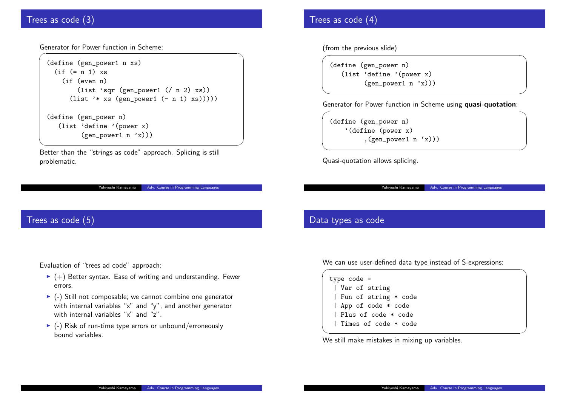#### Trees as code (3)

Generator for Power function in Scheme:  $\sqrt{2\pi i}$ 

```
(define (gen_power1 n xs)
  (if (= n 1) xs)(if (even n)
        (list 'sqr (gen_power1 (/ n 2) xs))
      (list '* xs (gen_power1 (- n 1) xs)))))
(define (gen_power n)
  (list 'define '(power x)
         (gen-power1 n 'x)))
```
✒ ✑ Better than the "strings as code" approach. Splicing is still problematic.

Yukiyoshi Kameyama | Adv. Course in Programming Languages

#### Trees as code (5)

Evaluation of "trees ad code[" approach:](#page-0-0)

- $\blacktriangleright$  (+) Better syntax. Ease of writing and understanding. Fewer errors.
- ▶ (-) Still not composable; we cannot combine one generator with internal variables "x" and "y", and another generator with internal variables "x" and "z".
- $\blacktriangleright$  (-) Risk of run-time type errors or unbound/erroneously bound variables.

#### Trees as code (4)

(from the previous slide)

 $\sqrt{ }$ (define (gen\_power n) (list 'define '(pow (gen\_power1 i

 $\sqrt{2\pi\left(\frac{1}{2}\right)^{2}+\left(\frac{1}{2}\right)^{2}}$ 

 $\overbrace{\hspace{27mm}}$ 

Yukiyoshi Kamey

Generator for Power function  $\overline{a}$ 

(define (gen\_power n) '(define (power x) , (gen\_power1

Quasi-quotation allows splicir

#### Data types as code

We can use user-defined data

|  | $type code =$         |  |  |
|--|-----------------------|--|--|
|  | Var of string         |  |  |
|  | Fun of string * cod   |  |  |
|  | App of code * code    |  |  |
|  | Plus of code * code   |  |  |
|  | I Times of code * cod |  |  |
|  |                       |  |  |
|  |                       |  |  |

We still make mistakes in mix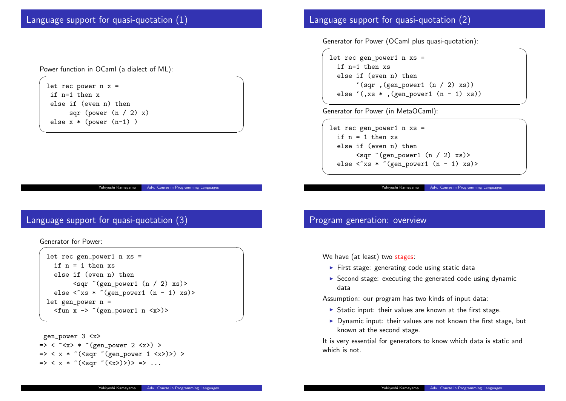Language support for quasi-quotation (1)

Power function in OCaml (a dialect of ML):

let rec power  $n x =$ if n=1 then x else if (even n) then sqr (power  $(n / 2) x$ ) else x \* (power (n-1) )

Yukiyoshi Kameyama | Adv. Course in Programming Languages

 $\sqrt{2\pi i}$ 

✒ ✑

# Language support for quasi-quotation (3)

```
Generator for Power:
\sqrt{2\pi i}
```

```
let rec gen_power1 n xs =
   if n = 1 then xselse if (even n) then
           \langle \text{sqrt} \rangle \langle \text{gen\_power1} \rangle (n / 2) xs)>
   else \langle x \rangle * \langle \text{gen\_power1} (n - 1) x s \ranglelet gen_power n =
   \langlefun x \rightarrow \sim (gen_power1 n \langle x \rangle)>
```

```
gen_power 3 <x>
\Rightarrow < \sim x \ast \sim (gen_power 2 <x>) >
\Rightarrow < x * ~ (<sqr ~ (gen_power 1 <x>)>) >
\Rightarrow < x * ~ (<sqr ~ (<x>)>)> => ...
```
## Language support for quas

```
Generator for Power (OCaml
```

```
let rec gen_power1 n x
  if n=1 then xs
  else if (even n) the
      '(sqrt, (gen\_porelse '(, xs *, (gen_power
✒ ✑
```
Generator for Power (in Meta  $\sqrt{2\pi i}$ 

```
let rec gen_power1 n x
   if n = 1 then xselse if (even n) the
          <sqr \sim (gen_power)
   else \langle x, \rangle * \langle \text{gen\_pc} \rangle
```
 $\sqrt{2\pi i}$ 

 $\sqrt{2\pi i\left(\frac{1}{2}\right)^2+\left(\frac{1}{2}\right)^2+\left(\frac{1}{2}\right)^2+\left(\frac{1}{2}\right)^2+\left(\frac{1}{2}\right)^2+\left(\frac{1}{2}\right)^2+\left(\frac{1}{2}\right)^2+\left(\frac{1}{2}\right)^2+\left(\frac{1}{2}\right)^2+\left(\frac{1}{2}\right)^2+\left(\frac{1}{2}\right)^2+\left(\frac{1}{2}\right)^2+\left(\frac{1}{2}\right)^2+\left(\frac{1}{2}\right)^2+\left(\frac{1}{2}\right)^2+\left(\frac{1}{2}\right)^2+\left(\frac{1}{2}\right)^2+\left(\frac{1}{2}\$ 

Yukiyoshi Kamey

## Program generation: over

We have (at least) two stages

- $\blacktriangleright$  First stage: generating c
- $\blacktriangleright$  Second stage: executing data

Assumption: our program has

- $\blacktriangleright$  Static input: their values
- $\blacktriangleright$  Dynamic input: their values known at the second sta

It is very essential for generat which is not.

✒ ✑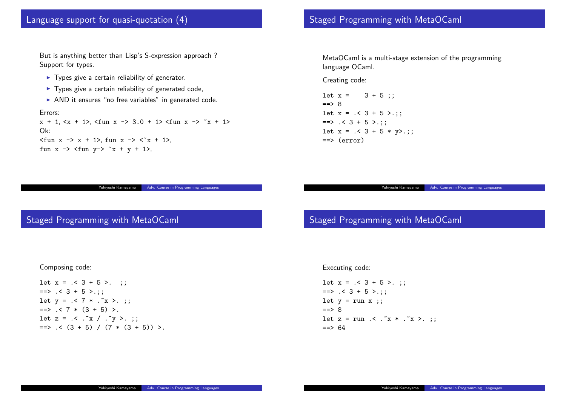#### Language support for quasi-quotation (4)

But is anything better than Lisp's S-expression approach ? Support for types.

- ▶ Types give a certain reliability of generator.
- ▶ Types give a certain reliability of generated code,
- ▶ AND it ensures "no free variables" in generated code.

Errors:

 $x + 1$ ,  $\langle x + 1 \rangle$ ,  $\langle$ fun  $x -\rangle$  3.0 + 1  $\langle$  fun  $x -\rangle$   $x + 1$ Ok:  $\langle$  fun x -> x + 1>, fun x ->  $\langle$   $x + 1$ >, fun  $x \rightarrow$  <fun  $y \rightarrow$   $x + y + 1$ >,

Yukiyoshi Kameyama | Adv. Course in Programming Languages

#### Staged Programming with

MetaOCaml is a multi-stage language OCaml.

Creating code:

```
let x = 3 + 5;
==> 8let x = .< 3 + 5 > .;;
\Rightarrow . < 3 + 5 >.;;
let x = . < 3 + 5 * y > .;==> (error)
```
#### Staged Programming with MetaOCaml

#### Executing code:

Staged Programming with

```
let x = .< 3 + 5 >.;
== . < 3 + 5 >.;;
let y = run x;;
==> 8let z = run .< . "x * ."
==> 64
```
#### Composing code:

let  $x = . < 3 + 5 >.$ ;  $==$  . < 3 + 5 >.;; let  $y = . < 7 * . x > . ;$  $\Rightarrow$  . < 7  $*$  (3 + 5) >. let  $z = .< .x / .y >.$ ;  $\Rightarrow$  . <  $(3 + 5)$  /  $(7 * (3 + 5))$  >. Yukiyoshi Kamey